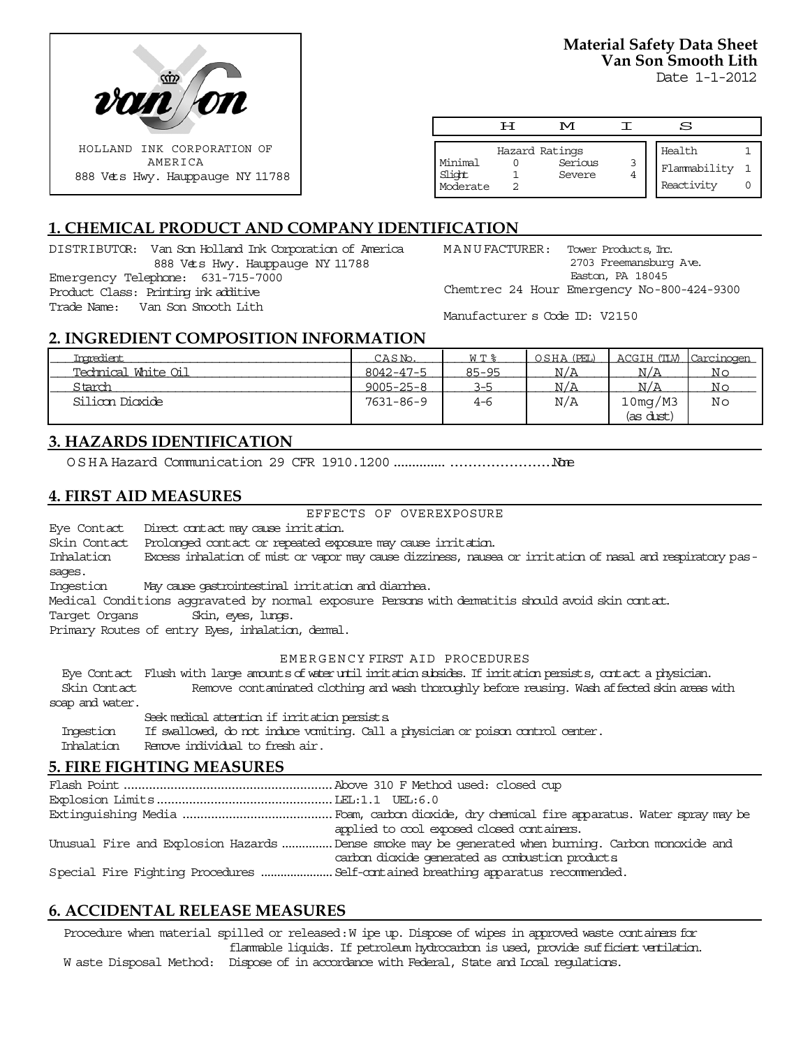

**Material Safety Data Sheet Van Son Smooth Lith**

Date 1-1-2012

|                               | ਸ | M                                   |   | S                                    |  |
|-------------------------------|---|-------------------------------------|---|--------------------------------------|--|
| Minimal<br>Slight<br>Moderate |   | Hazard Ratings<br>Serious<br>Severe | 3 | Health<br>Flammability<br>Reactivity |  |

# **1. CHEMICAL PRODUCT AND COMPANY IDENTIFICATION**

DISTRIBUTOR: Van Son Holland Ink Corporation of America 888 Vets Hwy. Hauppauge NY 11788 Emergency Telephone: 631-715-7000 Product Class: Printing ink additive Trade Name: Van Son Smooth Lith

MANUFACTURER: Tower Products, Inc. 2703 Freemansburg Ave. Easton, PA 18045 Chemtrec 24 Hour Emergency No-800-424-9300

Manufacturer s Code ID: V2150

# **2. INGREDIENT COMPOSITION INFORMATION**

| Inoredient          | CASN <sub>o</sub> . | WT %      | OSHA (PEL) | ACGIH (TLV) Carcinogen |    |
|---------------------|---------------------|-----------|------------|------------------------|----|
| Technical White Oil | $8042 - 47 - 5$     | $85 - 95$ | N/A        | N/A                    | No |
| Starch              | $9005 - 25 - 8$     | 3-5       | N/A        | N/A                    | No |
| Silion Dioxide      | 7631-86-9           | 4-6       | N/A        | 10mg/M3                | No |
|                     |                     |           |            | (as dust)              |    |

# **3. HAZARDS IDENTIFICATION**

OSHA Hazard Communication 29 CFR 1910.1200.....................................None

# **4. FIRST AID MEASURES**

EFFECTS OF OVEREXPOSURE

Eye Contact Direct contact may cause irritation.

Skin Contact Prolonged contact or repeated exposure may cause irritation.

Inhalation Excess inhalation of mist or vapor may cause dizziness, nausea or irritation of nasal and respiratory passages.

Ingestion May cause gastrointestinal irritation and diarrhea.

Medical Conditions aggravated by normal exposure Persons with dermatitis should avoid skin contact.

Target Organs Skin, eyes, lungs.

Primary Routes of entry Eyes, inhalation, dermal.

#### EMERGENCY FIRST AID PROCEDURES

 Eye Contact Flush with large amounts of water until irritation subsides. If irritation persists, contact a physician. Skin Contact Remove contaminated clothing and wash thoroughly before reusing. Wash affected skin areas with soap and water.

Seek medical attention if irritation persists. Ingestion If swallowed, do not induce vomiting. Call a physician or poison control center. Inhalation Remove individual to fresh air.

# **5. FIRE FIGHTING MEASURES**

| applied to cool exposed closed containers.                                                        |
|---------------------------------------------------------------------------------------------------|
| Unusual Fire and Explosion Hazards Dense smoke may be generated when burning. Carbon monoxide and |
| carbon dioxide generated as combustion products                                                   |
|                                                                                                   |

# **6. ACCIDENTAL RELEASE MEASURES**

Procedure when material spilled or released: W ipe up. Dispose of wipes in approved waste containers for flammable liquids. If petroleum hydrocarbon is used, provide sufficient ventilation. W aste Disposal Method: Dispose of in accordance with Federal, State and Local regulations.